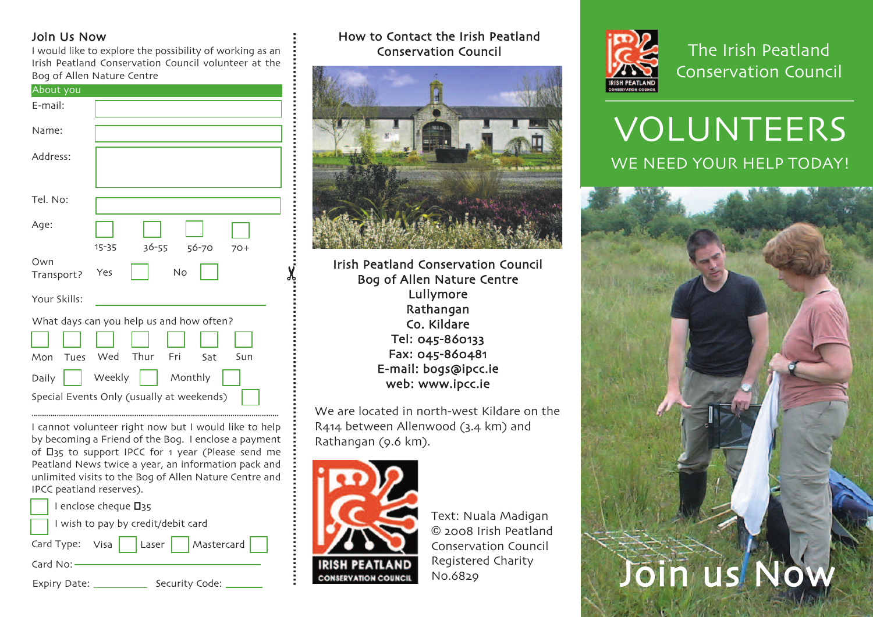#### Join Us Now

I would like to explore the possibility of working as an Irish Peatland Conservation Council volunteer at the Bog of Allen Nature Centre

| About you         |                                           |
|-------------------|-------------------------------------------|
| E-mail:           |                                           |
| Name:             |                                           |
| Address:          |                                           |
| Tel. No:          |                                           |
| Age:              | $15 - 35$<br>36-55<br>56-70<br>$70+$      |
| Own<br>Transport? | No<br>Yes                                 |
| Your Skills:      |                                           |
|                   | What days can you help us and how often?  |
|                   |                                           |
| Mon<br>Tues       | Thur<br>Wed<br>Fri<br>Sun<br>- Sat        |
| Daily             | Weekly<br>Monthly                         |
|                   | Special Events Only (usually at weekends) |
|                   |                                           |

I cannot volunteer right now but I would like to help by becoming a Friend of the Bog. I enclose a payment of  $\Box$ 35 to support IPCC for 1 year (Please send me Peatland News twice a year, an information pack and unlimited visits to the Bog of Allen Nature Centre and IPCC peatland reserves).

| $\vert$   I enclose cheque $\Box$ 35 |
|--------------------------------------|
| I wish to pay by credit/debit card   |
| Card Type: Visa   Laser   Mastercard |
| Card No: $-$                         |
|                                      |

Expiry Date: \_\_\_\_\_\_\_\_\_\_\_\_\_\_ Security Code:

#### How to Contact the Irish Peatland Conservation Council



Irish Peatland Conservation Council Bog of Allen Nature Centre Lullymore Rathangan Co. Kildare Tel: 045-860133 Fax: 045-860481 E-mail: bogs@ipcc.ie web: www.ipcc.ie

We are located in north-west Kildare on the R414 between Allenwood (3.4 km) and Rathangan (9.6 km).



.........................................................................✂........................................................

Text: Nuala Madigan © 2008 Irish Peatland Conservation Council Registered Charity No.6829



The Irish Peatland Conservation Council

# VOLUNTEERS WE NEED YOUR HELP TODAY!